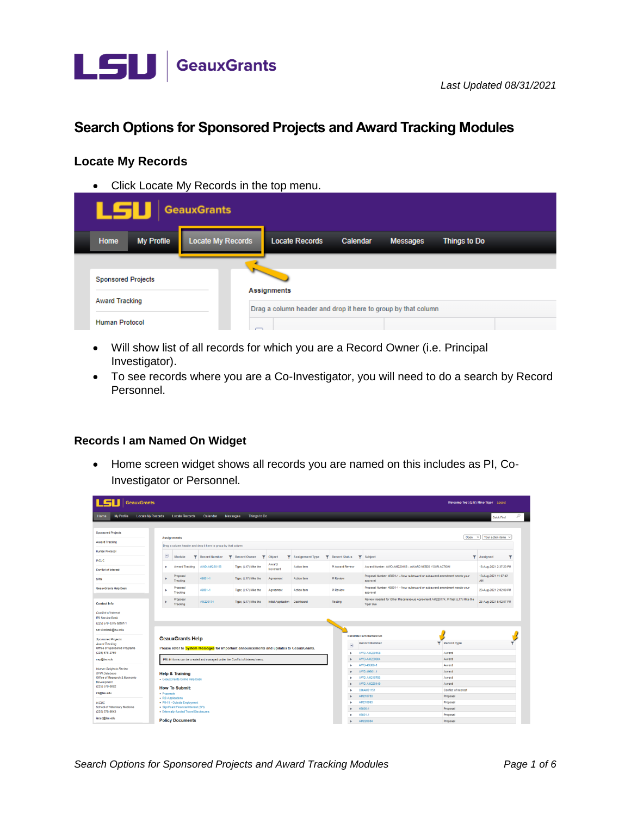

# Search Options for Sponsored Projects and Award Tracking Modules

#### **Locate My Records**

• Click Locate My Records in the top menu.

|                       | LSI                                                |                   | <b>GeauxGrants</b>       |                                                               |          |                 |              |  |
|-----------------------|----------------------------------------------------|-------------------|--------------------------|---------------------------------------------------------------|----------|-----------------|--------------|--|
|                       | Home                                               | <b>My Profile</b> | <b>Locate My Records</b> | <b>Locate Records</b>                                         | Calendar | <b>Messages</b> | Things to Do |  |
|                       |                                                    |                   |                          |                                                               |          |                 |              |  |
|                       | <b>Sponsored Projects</b><br><b>Award Tracking</b> |                   |                          |                                                               |          |                 |              |  |
|                       |                                                    |                   |                          | Assignments                                                   |          |                 |              |  |
| <b>Human Protocol</b> |                                                    |                   |                          | Drag a column header and drop it here to group by that column |          |                 |              |  |

- Will show list of all records for which you are a Record Owner (i.e. Principal Investigator).
- To see records where you are a Co-Investigator, you will need to do a search by Record Personnel.

#### Records I am Named On Widget

• Home screen widget shows all records you are named on this includes as PI, Co-Investigator or Personnel.

| c<br>GeauxGrants<br>Welcome Test (L17) Mike Tiger Logout                                          |                                                                                                                    |                                                                             |                                 |                     |                          |                   |                         |                                                                                               |                      |                              |   |
|---------------------------------------------------------------------------------------------------|--------------------------------------------------------------------------------------------------------------------|-----------------------------------------------------------------------------|---------------------------------|---------------------|--------------------------|-------------------|-------------------------|-----------------------------------------------------------------------------------------------|----------------------|------------------------------|---|
| Locate My Records<br><b>My Profile</b><br>Home                                                    | <b>Locate Records</b>                                                                                              | Calendar                                                                    | Things to Do<br><b>Messages</b> |                     |                          |                   |                         |                                                                                               |                      | Quick Find                   | Q |
|                                                                                                   |                                                                                                                    |                                                                             |                                 |                     |                          |                   |                         |                                                                                               |                      |                              |   |
| <b>Sponsored Projects</b>                                                                         |                                                                                                                    |                                                                             |                                 |                     |                          |                   |                         |                                                                                               |                      |                              |   |
| Award Tracking                                                                                    | <b>Assignments</b>                                                                                                 |                                                                             |                                 |                     |                          |                   |                         |                                                                                               |                      | Open v   Your action items v |   |
|                                                                                                   |                                                                                                                    | Drag a column header and drop it here to group by that column               |                                 |                     |                          |                   |                         |                                                                                               |                      |                              |   |
| <b>Human Protocol</b>                                                                             | $\boxdot$                                                                                                          |                                                                             |                                 |                     |                          |                   |                         |                                                                                               |                      |                              |   |
| <b>IACUC</b>                                                                                      | Module<br>▼                                                                                                        | <b>Record Number</b><br>$\overline{\mathbf{v}}$                             | <b>Record Owner</b><br>v        | Object              | <b>T</b> Assignment Type |                   | <b>T</b> Record Status  | <b>T</b> Subject                                                                              |                      | <b>T</b> Assigned            |   |
| Conflict of Interest                                                                              | Award Tracking<br>×                                                                                                | AWD-AM220158                                                                | Tiger, (L17) Mike the           | Award<br>Increment  | <b>Action tem</b>        |                   | Pl Award Review         | Award Number: AWD-AM220158 - AWARD NEEDS YOUR ACTION                                          |                      | 18-Aug-2021 2:37:23 PM       |   |
| SPIN                                                                                              | Proposal<br>Tracking                                                                                               | 49801-1                                                                     | Tiger, (L17) Mike the           | Agreement           | Action tem               |                   | Pi Review               | Proposal Number: 49801-1 - New subaward or subaward amendment needs your<br>approval          |                      | 19-Aug-2021 11:07:42<br>AM   |   |
| <b>GeauxGrants Help Desk</b>                                                                      | Proposal<br>×<br>Tracking                                                                                          | 49801-1                                                                     | Tiger, (L17) Mike the           | Agreement           | Action tem               |                   | Pl Review               | Proposal Number: 49801-1 - New subaward or subaward amendment needs your<br>approval          |                      | 20-Aug-2021 2:02:09 PM       |   |
| <b>Contact Info</b>                                                                               | Proposal<br>Tracking                                                                                               | AM220174                                                                    | Tiger, (L17) Mike the           | Initial Application | Dashboard                |                   | Routing                 | Review needed for Other Miscellaneous Agreement AM220174; PI Test (L17) Mike the<br>Tiger due |                      | 23-Aug-2021 5:02:07 PM       |   |
| Conflict of Interest<br><b>ITS Service Desk</b><br>(225) 578-3375 option 1<br>servicedesk@lsu.edu |                                                                                                                    |                                                                             |                                 |                     |                          |                   |                         |                                                                                               |                      |                              |   |
|                                                                                                   |                                                                                                                    |                                                                             |                                 |                     |                          |                   |                         | <b>Records Lam Named On</b>                                                                   |                      |                              |   |
| <b>Sponsored Projects</b><br>Award Tracking<br>Office of Sponsored Programs                       | <b>GeauxGrants Help</b><br>Please refer to System Messages for important announcements and updates to GeauxGrants. |                                                                             |                                 |                     |                          |                   | $\overline{\mathbf{v}}$ | <b>Record Number</b>                                                                          | <b>T</b> Record Type |                              |   |
| (225) 578-2760                                                                                    |                                                                                                                    |                                                                             |                                 |                     |                          |                   | ٠                       | AWD-AM220158                                                                                  | Award                |                              |   |
| osp@lsu.edu                                                                                       |                                                                                                                    | PM-11 forms can be created and managed under the Conflict of Interest menu. |                                 |                     |                          |                   |                         | AWD-AM220084                                                                                  | Award                |                              |   |
| Human Subjects Review                                                                             |                                                                                                                    |                                                                             |                                 |                     |                          |                   | $\blacksquare$          | AWD-49800-1                                                                                   | Award                |                              |   |
| SPIN Database                                                                                     | <b>Help &amp; Training</b>                                                                                         |                                                                             |                                 |                     |                          |                   |                         | AWD-49801-1                                                                                   | Award                |                              |   |
| Office of Research & Economic                                                                     | · GeauxGrants Online Help Desk                                                                                     |                                                                             |                                 |                     |                          |                   | $\sim$                  | AWD-AM210783                                                                                  | Award                |                              |   |
| Development<br>(225) 578-8692<br><b>How To Submit:</b><br>irb@lsu.edu<br>· Proposals              |                                                                                                                    |                                                                             |                                 |                     |                          | AWD-AM220140      | Award                   |                                                                                               |                      |                              |   |
|                                                                                                   |                                                                                                                    |                                                                             |                                 |                     | ×                        | <b>COIAM01151</b> | Conflict of Interest    |                                                                                               |                      |                              |   |
|                                                                                                   | • RB Applications                                                                                                  |                                                                             |                                 |                     |                          |                   | ٠                       | AM210783                                                                                      | Proposal             |                              |   |
| <b>IACUC</b>                                                                                      | · PM-11 - Outside Employment                                                                                       |                                                                             |                                 |                     |                          |                   | ٠                       | AM210993                                                                                      | Proposal             |                              |   |
| School of Veterinary Medicine<br>(225) 578-9643                                                   | - Significant Financial Interest (SFI)<br>· Externally-funded Travel Disclosures                                   |                                                                             |                                 |                     |                          |                   |                         | 49800-1                                                                                       | Proposal             |                              |   |
| incuc@lsu.edu                                                                                     |                                                                                                                    |                                                                             |                                 |                     |                          |                   | ٠                       | 49801-1                                                                                       | Proposal             |                              |   |
|                                                                                                   | <b>Policy Documents</b>                                                                                            |                                                                             |                                 |                     |                          |                   | ٠                       | AM220084                                                                                      | Proposal             |                              |   |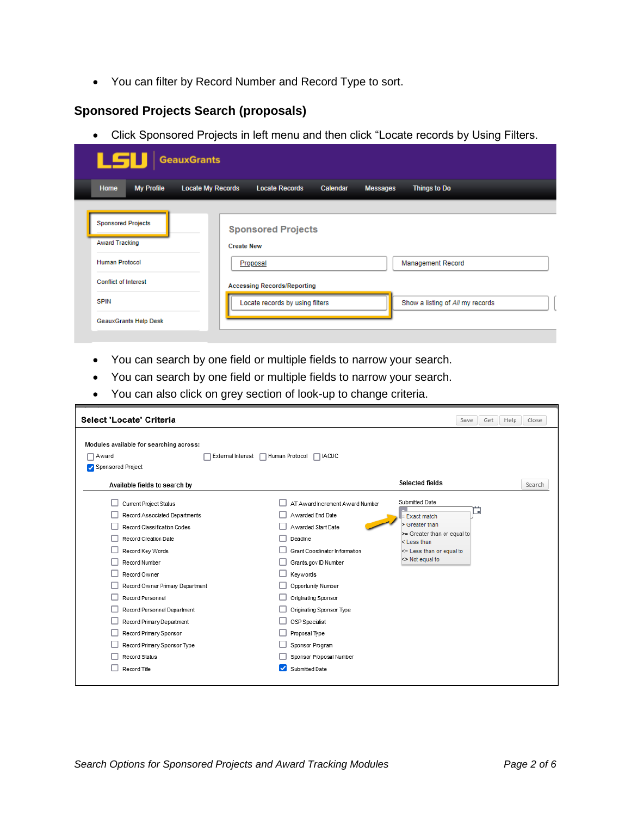• You can filter by Record Number and Record Type to sort.

### **Sponsored Projects Search (proposals)**

• Click Sponsored Projects in left menu and then click "Locate records by Using Filters.

| LSU GeauxGrants                                                             |                                                            |                                 |                                  |  |  |  |  |
|-----------------------------------------------------------------------------|------------------------------------------------------------|---------------------------------|----------------------------------|--|--|--|--|
| Home<br><b>My Profile</b>                                                   | <b>Locate My Records</b><br><b>Locate Records</b>          | Calendar                        | <b>Messages</b><br>Things to Do  |  |  |  |  |
| <b>Sponsored Projects</b><br><b>Award Tracking</b><br><b>Human Protocol</b> | <b>Sponsored Projects</b><br><b>Create New</b><br>Proposal |                                 | <b>Management Record</b>         |  |  |  |  |
| <b>Conflict of Interest</b><br><b>SPIN</b>                                  | <b>Accessing Records/Reporting</b>                         | Locate records by using filters | Show a listing of All my records |  |  |  |  |
| <b>GeauxGrants Help Desk</b>                                                |                                                            |                                 |                                  |  |  |  |  |

- You can search by one field or multiple fields to narrow your search.
- You can search by one field or multiple fields to narrow your search.
- You can also click on grey section of look-up to change criteria.

| Select 'Locate' Criteria                                                                                                                                                                                                                                                                                                                                                         |                                                                                                                                                                                                                                                                                                                                             | Save<br>Get                                                                                                                                                               | Close<br>Help |
|----------------------------------------------------------------------------------------------------------------------------------------------------------------------------------------------------------------------------------------------------------------------------------------------------------------------------------------------------------------------------------|---------------------------------------------------------------------------------------------------------------------------------------------------------------------------------------------------------------------------------------------------------------------------------------------------------------------------------------------|---------------------------------------------------------------------------------------------------------------------------------------------------------------------------|---------------|
| Modules available for searching across:<br>□ Award<br>External Interest<br>Sponsored Project                                                                                                                                                                                                                                                                                     | Human Protocol<br>$\Box$ IACUC                                                                                                                                                                                                                                                                                                              |                                                                                                                                                                           |               |
| Available fields to search by                                                                                                                                                                                                                                                                                                                                                    |                                                                                                                                                                                                                                                                                                                                             | <b>Selected fields</b>                                                                                                                                                    | Search        |
| Current Project Status<br>Record Associated Departments<br>Record Classification Codes<br>Record Creation Date<br>Record Key Words<br>Record Number<br>Record Owner<br>Record Owner Primary Department<br>Record Personnel<br>Record Personnel Department<br>Record Primary Department<br>Record Primary Sponsor<br>Record Primary Sponsor Type<br>Record Status<br>Record Title | AT Award Increment Award Number<br>Awarded End Date<br>Awarded Start Date<br>Deadline<br>Grant Coordinator Information<br>Grants.gov ID Number<br>Keywords<br>Opportunity Number<br>Originating Sponsor<br>Originating Sponsor Type<br>OSP Specialist<br>Proposal Type<br>Sponsor Program<br>Sponsor Proposal Number<br>◡<br>Submitted Date | Submitted Date<br>그<br>$\equiv$ Exact match<br>Screater than<br>>= Greater than or equal to<br>$<$ Less than<br><= Less than or equal to<br>$\triangleright$ Not equal to |               |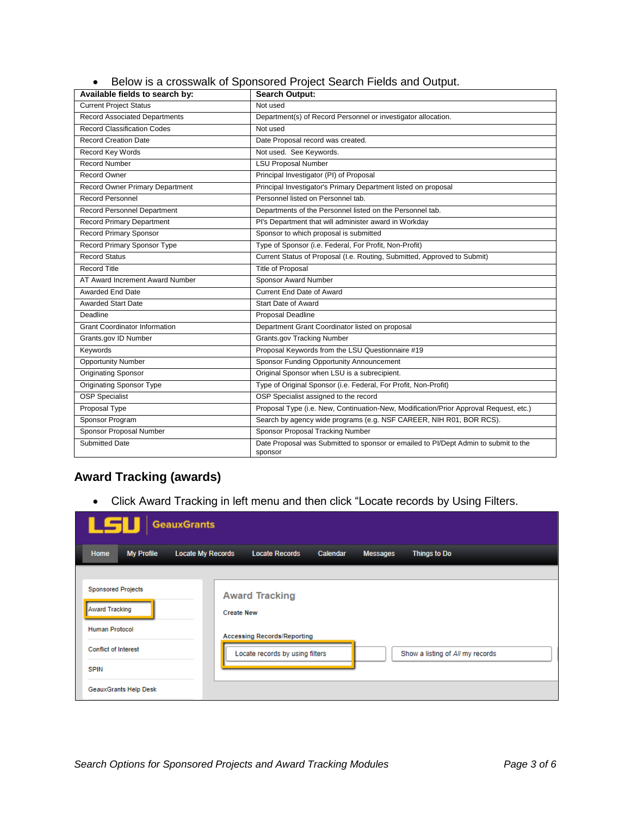|  | Below is a crosswalk of Sponsored Project Search Fields and Output. |  |  |  |
|--|---------------------------------------------------------------------|--|--|--|
|--|---------------------------------------------------------------------|--|--|--|

| Available fields to search by:       | <b>Search Output:</b>                                                                          |
|--------------------------------------|------------------------------------------------------------------------------------------------|
| <b>Current Project Status</b>        | Not used                                                                                       |
| <b>Record Associated Departments</b> | Department(s) of Record Personnel or investigator allocation.                                  |
| Record Classification Codes          | Not used                                                                                       |
| <b>Record Creation Date</b>          | Date Proposal record was created.                                                              |
| Record Key Words                     | Not used. See Keywords.                                                                        |
| <b>Record Number</b>                 | <b>LSU Proposal Number</b>                                                                     |
| Record Owner                         | Principal Investigator (PI) of Proposal                                                        |
| Record Owner Primary Department      | Principal Investigator's Primary Department listed on proposal                                 |
| <b>Record Personnel</b>              | Personnel listed on Personnel tab.                                                             |
| <b>Record Personnel Department</b>   | Departments of the Personnel listed on the Personnel tab.                                      |
| <b>Record Primary Department</b>     | Pl's Department that will administer award in Workday                                          |
| <b>Record Primary Sponsor</b>        | Sponsor to which proposal is submitted                                                         |
| Record Primary Sponsor Type          | Type of Sponsor (i.e. Federal, For Profit, Non-Profit)                                         |
| <b>Record Status</b>                 | Current Status of Proposal (I.e. Routing, Submitted, Approved to Submit)                       |
| <b>Record Title</b>                  | Title of Proposal                                                                              |
| AT Award Increment Award Number      | Sponsor Award Number                                                                           |
| <b>Awarded End Date</b>              | <b>Current End Date of Award</b>                                                               |
| <b>Awarded Start Date</b>            | Start Date of Award                                                                            |
| Deadline                             | <b>Proposal Deadline</b>                                                                       |
| <b>Grant Coordinator Information</b> | Department Grant Coordinator listed on proposal                                                |
| Grants.gov ID Number                 | <b>Grants.gov Tracking Number</b>                                                              |
| Keywords                             | Proposal Keywords from the LSU Questionnaire #19                                               |
| <b>Opportunity Number</b>            | Sponsor Funding Opportunity Announcement                                                       |
| Originating Sponsor                  | Original Sponsor when LSU is a subrecipient.                                                   |
| <b>Originating Sponsor Type</b>      | Type of Original Sponsor (i.e. Federal, For Profit, Non-Profit)                                |
| <b>OSP Specialist</b>                | OSP Specialist assigned to the record                                                          |
| Proposal Type                        | Proposal Type (i.e. New, Continuation-New, Modification/Prior Approval Request, etc.)          |
| Sponsor Program                      | Search by agency wide programs (e.g. NSF CAREER, NIH R01, BOR RCS).                            |
| Sponsor Proposal Number              | Sponsor Proposal Tracking Number                                                               |
| <b>Submitted Date</b>                | Date Proposal was Submitted to sponsor or emailed to PI/Dept Admin to submit to the<br>sponsor |

## **Award Tracking (awards)**

• Click Award Tracking in left menu and then click "Locate records by Using Filters.

| <b>LSU</b> GeauxGrants                         |                                                                     |                                 |  |  |  |  |  |
|------------------------------------------------|---------------------------------------------------------------------|---------------------------------|--|--|--|--|--|
| Home<br><b>My Profile</b>                      | <b>Locate My Records</b><br><b>Locate Records</b><br>Calendar       | Things to Do<br><b>Messages</b> |  |  |  |  |  |
|                                                |                                                                     |                                 |  |  |  |  |  |
| <b>Sponsored Projects</b>                      | <b>Award Tracking</b><br><b>Create New</b>                          |                                 |  |  |  |  |  |
| <b>Award Tracking</b><br><b>Human Protocol</b> |                                                                     |                                 |  |  |  |  |  |
|                                                | <b>Accessing Records/Reporting</b>                                  |                                 |  |  |  |  |  |
| <b>Conflict of Interest</b>                    | Locate records by using filters<br>Show a listing of All my records |                                 |  |  |  |  |  |
| <b>SPIN</b>                                    |                                                                     |                                 |  |  |  |  |  |
| <b>GeauxGrants Help Desk</b>                   |                                                                     |                                 |  |  |  |  |  |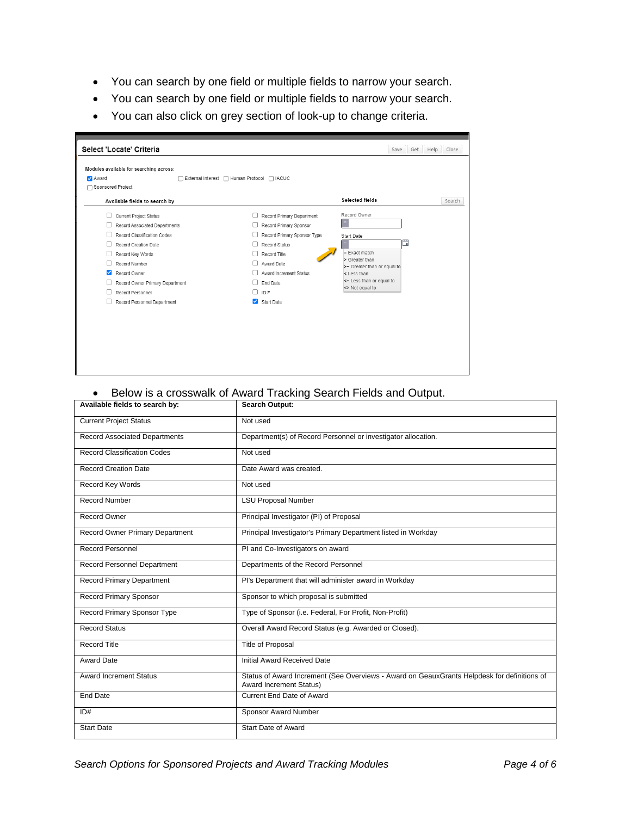- You can search by one field or multiple fields to narrow your search.
- You can search by one field or multiple fields to narrow your search.
- You can also click on grey section of look-up to change criteria.

| Modules available for searching across:<br>Award<br>Sponsored Project                                                                                                                                                                                            | □ External Interest □ Human Protocol □ IACUC                                                                                                                                                                                     |                                                                                                                                                                   |        |
|------------------------------------------------------------------------------------------------------------------------------------------------------------------------------------------------------------------------------------------------------------------|----------------------------------------------------------------------------------------------------------------------------------------------------------------------------------------------------------------------------------|-------------------------------------------------------------------------------------------------------------------------------------------------------------------|--------|
| Available fields to search by                                                                                                                                                                                                                                    |                                                                                                                                                                                                                                  | Selected fields                                                                                                                                                   | Search |
| <b>Current Project Status</b><br>Record Associated Departments<br>Record Classification Codes<br>Record Creation Date<br>Record Key Words<br>Record Number<br>Record Owner<br>Record Owner Primary Department<br>Record Personnel<br>Record Personnel Department | Record Primary Department<br>Record Primary Sponsor<br>Record Primary Sponsor Type<br>Record Status<br>Record Title<br>Award Date<br>П<br>Award Increment Status<br>End Date<br>ID#<br>n.<br>$\blacktriangleright$<br>Start Date | Record Owner<br>Start Date<br>п<br>$=$ Exact match<br>> Greater than<br>>= Greater than or equal to<br>< Less than<br><= Less than or equal to<br><> Not equal to |        |

## • Below is a crosswalk of Award Tracking Search Fields and Output.

| Available fields to search by:         | <b>Search Output:</b>                                                                                                         |
|----------------------------------------|-------------------------------------------------------------------------------------------------------------------------------|
| <b>Current Project Status</b>          | Not used                                                                                                                      |
| <b>Record Associated Departments</b>   | Department(s) of Record Personnel or investigator allocation.                                                                 |
| <b>Record Classification Codes</b>     | Not used                                                                                                                      |
| <b>Record Creation Date</b>            | Date Award was created.                                                                                                       |
| Record Key Words                       | Not used                                                                                                                      |
| <b>Record Number</b>                   | <b>LSU Proposal Number</b>                                                                                                    |
| <b>Record Owner</b>                    | Principal Investigator (PI) of Proposal                                                                                       |
| <b>Record Owner Primary Department</b> | Principal Investigator's Primary Department listed in Workday                                                                 |
| <b>Record Personnel</b>                | PI and Co-Investigators on award                                                                                              |
| Record Personnel Department            | Departments of the Record Personnel                                                                                           |
| <b>Record Primary Department</b>       | Pl's Department that will administer award in Workday                                                                         |
| <b>Record Primary Sponsor</b>          | Sponsor to which proposal is submitted                                                                                        |
| Record Primary Sponsor Type            | Type of Sponsor (i.e. Federal, For Profit, Non-Profit)                                                                        |
| <b>Record Status</b>                   | Overall Award Record Status (e.g. Awarded or Closed).                                                                         |
| <b>Record Title</b>                    | Title of Proposal                                                                                                             |
| Award Date                             | Initial Award Received Date                                                                                                   |
| <b>Award Increment Status</b>          | Status of Award Increment (See Overviews - Award on GeauxGrants Helpdesk for definitions of<br><b>Award Increment Status)</b> |
| End Date                               | Current End Date of Award                                                                                                     |
| ID#                                    | Sponsor Award Number                                                                                                          |
| <b>Start Date</b>                      | Start Date of Award                                                                                                           |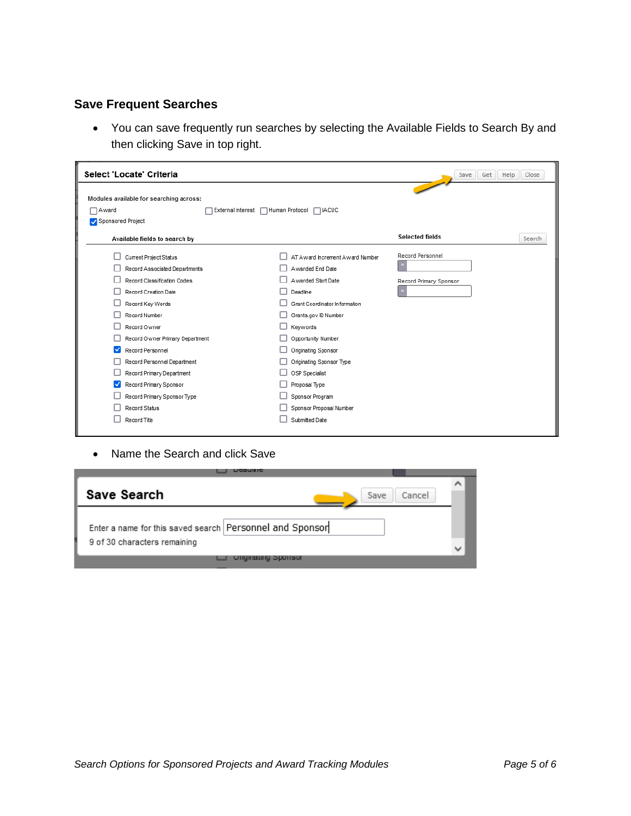## **Save Frequent Searches**

• You can save frequently run searches by selecting the Available Fields to Search By and then clicking Save in top right.

| Select 'Locate' Criteria                                                                                                                                                                                                                                                                                                                                        |                                                                                                                                                                                                                                                                                           | Close<br>Help<br>Get<br>Save                    |
|-----------------------------------------------------------------------------------------------------------------------------------------------------------------------------------------------------------------------------------------------------------------------------------------------------------------------------------------------------------------|-------------------------------------------------------------------------------------------------------------------------------------------------------------------------------------------------------------------------------------------------------------------------------------------|-------------------------------------------------|
| Modules available for searching across:<br>Award<br>External Interest                                                                                                                                                                                                                                                                                           | Human Protocol<br>$\Box$ IACUC                                                                                                                                                                                                                                                            |                                                 |
| Sponsored Project                                                                                                                                                                                                                                                                                                                                               |                                                                                                                                                                                                                                                                                           |                                                 |
| Available fields to search by                                                                                                                                                                                                                                                                                                                                   |                                                                                                                                                                                                                                                                                           | Selected fields<br>Search                       |
| Current Project Status<br>Record Associated Departments<br>Record Classification Codes<br>Record Creation Date<br>Record Key Words<br>Record Number<br>Record Owner<br>Record Owner Primary Department<br>$\checkmark$<br>Record Personnel<br>Record Personnel Department<br>Record Primary Department<br>Record Primary Sponsor<br>Record Primary Sponsor Type | AT Award Increment Award Number<br>Awarded End Date<br>Awarded Start Date<br>Deadline<br>Grant Coordinator Information<br>Grants.gov ID Number<br>Keywords<br>Opportunity Number<br>Originating Sponsor<br>Originating Sponsor Type<br>OSP Specialist<br>Proposal Type<br>Sponsor Program | Record Personnel<br>Ξ<br>Record Primary Sponsor |
| Record Status<br>Record Title                                                                                                                                                                                                                                                                                                                                   | Sponsor Proposal Number<br>Submitted Date                                                                                                                                                                                                                                                 |                                                 |
|                                                                                                                                                                                                                                                                                                                                                                 |                                                                                                                                                                                                                                                                                           |                                                 |

• Name the Search and click Save

| E GRETHER                                                |        |  |
|----------------------------------------------------------|--------|--|
|                                                          |        |  |
| Save Search<br>Save                                      | Cancel |  |
|                                                          |        |  |
| Enter a name for this saved search Personnel and Sponsor |        |  |
|                                                          |        |  |
| 9 of 30 characters remaining                             |        |  |
|                                                          |        |  |
| <b>UNGINALING SPONSOR</b>                                |        |  |
|                                                          |        |  |